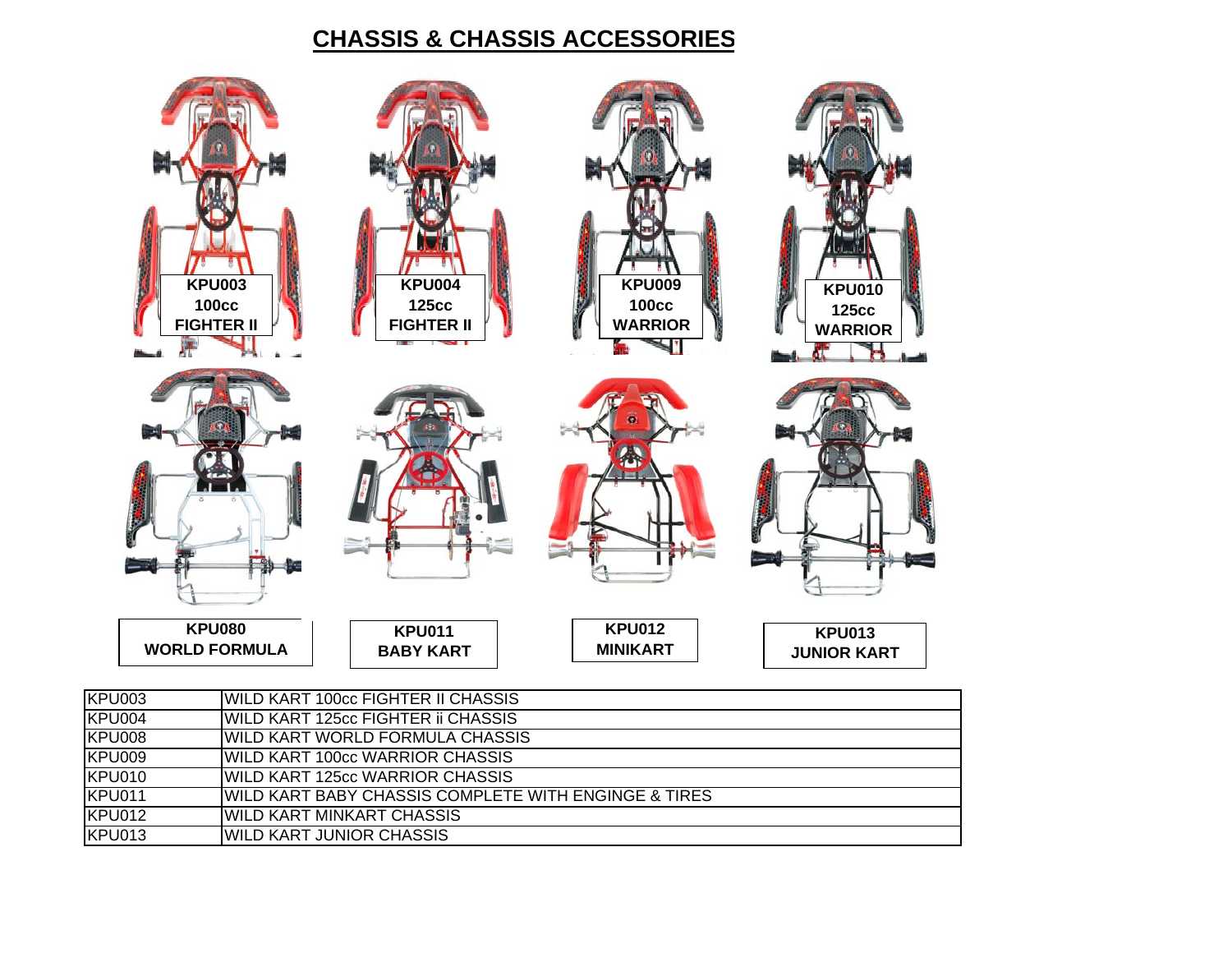## **CHASSIS & CHASSIS ACCESSORIE S**

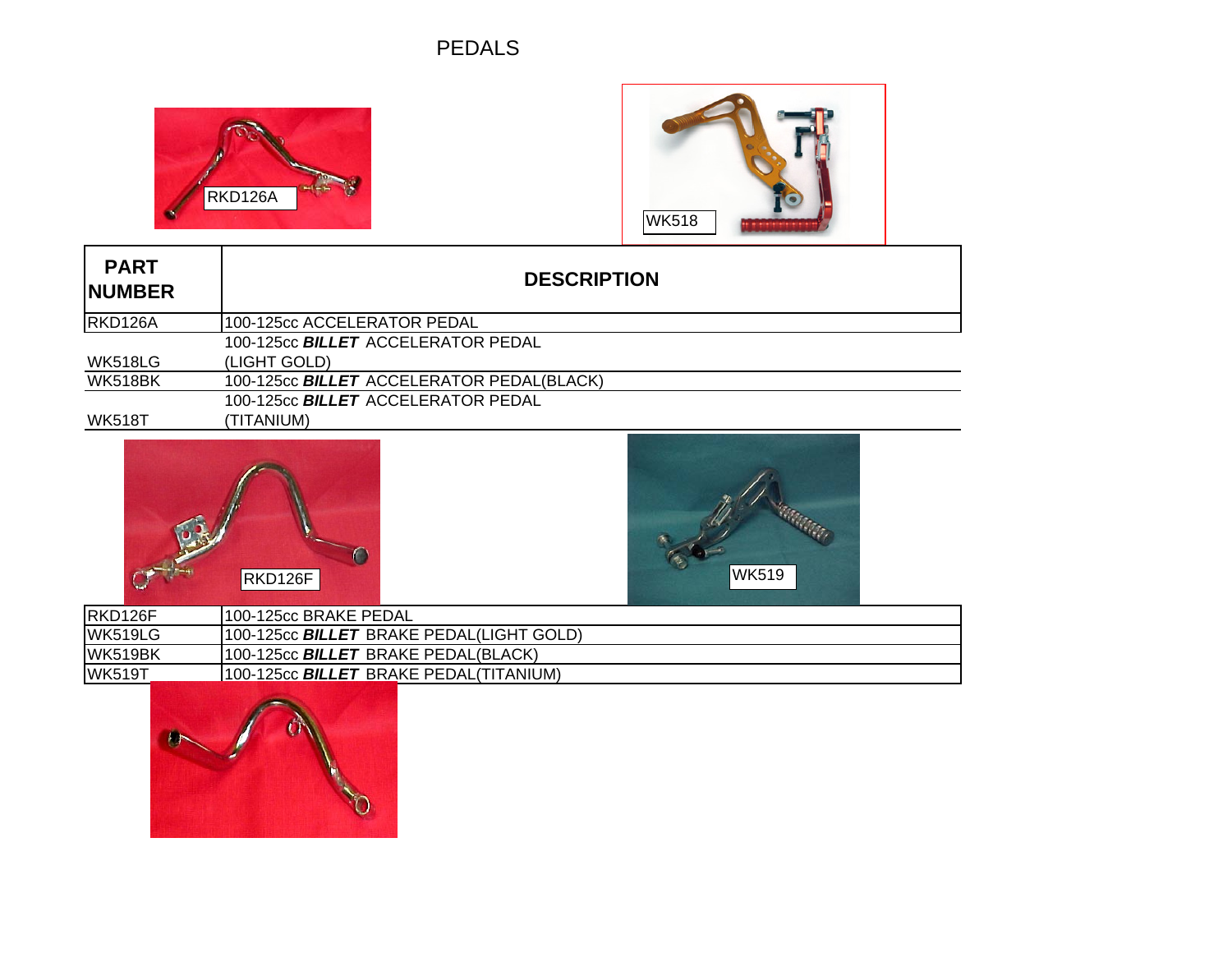## **PEDALS**





| <b>PART</b><br><b>INUMBER</b> | <b>DESCRIPTION</b>                               |
|-------------------------------|--------------------------------------------------|
| RKD126A                       | 100-125cc ACCELERATOR PEDAL                      |
|                               | 100-125cc <b>BILLET</b> ACCELERATOR PEDAL        |
| <b>WK518LG</b>                | (LIGHT GOLD)                                     |
| <b>WK518BK</b>                | 100-125cc <b>BILLET</b> ACCELERATOR PEDAL(BLACK) |
|                               | 100-125cc <b>BILLET</b> ACCELERATOR PEDAL        |
| <b>WK518T</b>                 | (TITANIUM)                                       |
|                               |                                                  |





| IRKD126F      | 1100-125cc BRAKE PEDAL                                 |  |
|---------------|--------------------------------------------------------|--|
| WK519LG       | 100-125cc BILLET BRAKE PEDAL(LIGHT GOLD)               |  |
| WK519BK       | 1100-125cc <b><i>BILLET</i></b> BRAKE PEDAL(BLACK).    |  |
| <b>WK519T</b> | 1100-125cc <b><i>BILLET</i></b> BRAKE PEDAL(TITANIUM). |  |
|               |                                                        |  |

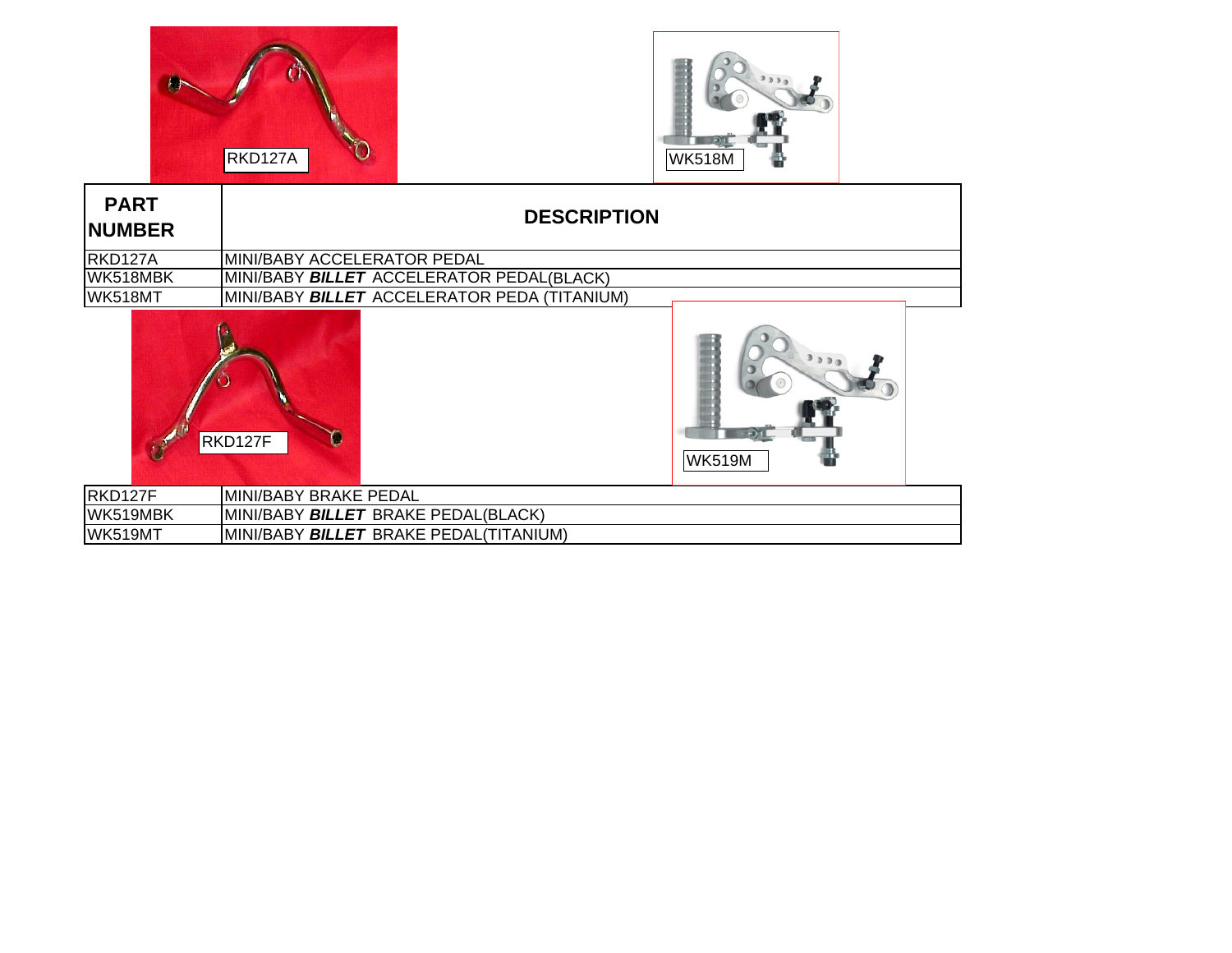



| <b>PART</b><br><b>NUMBER</b> | <b>DESCRIPTION</b>                           |
|------------------------------|----------------------------------------------|
| RKD127A                      | MINI/BABY ACCELERATOR PEDAL                  |
| WK518MBK                     | MINI/BABY BILLET ACCELERATOR PEDAL(BLACK)    |
| WK518MT                      | MINI/BABY BILLET ACCELERATOR PEDA (TITANIUM) |
|                              | RKD127F<br><b>WK519M</b>                     |
| RKD127F                      | MINI/BABY BRAKE PEDAL                        |
| WK519MBK                     | MINI/BABY BILLET BRAKE PEDAL(BLACK)          |
| <b>WK519MT</b>               | MINI/BABY BILLET BRAKE PEDAL(TITANIUM)       |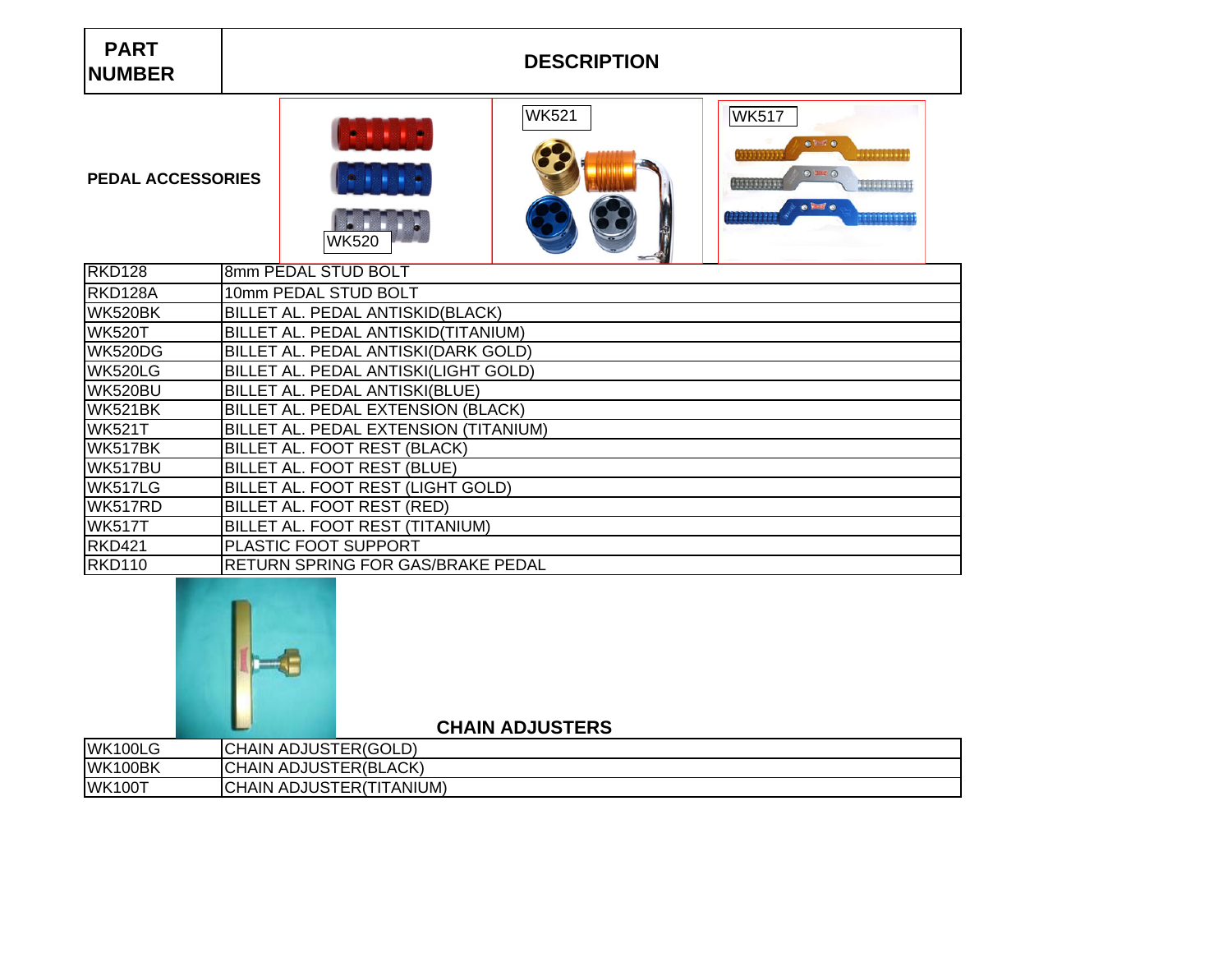## **DESCRIPTION**



**PEDAL ACCESSORIES**

|                | $-1$                                     |
|----------------|------------------------------------------|
| <b>RKD128</b>  | 8mm PEDAL STUD BOLT                      |
| RKD128A        | 10mm PEDAL STUD BOLT                     |
| WK520BK        | BILLET AL. PEDAL ANTISKID(BLACK)         |
| <b>WK520T</b>  | BILLET AL. PEDAL ANTISKID(TITANIUM)      |
| <b>WK520DG</b> | BILLET AL. PEDAL ANTISKI(DARK GOLD)      |
| <b>WK520LG</b> | BILLET AL. PEDAL ANTISKI(LIGHT GOLD)     |
| WK520BU        | BILLET AL. PEDAL ANTISKI(BLUE)           |
| <b>WK521BK</b> | BILLET AL. PEDAL EXTENSION (BLACK)       |
| <b>WK521T</b>  | BILLET AL. PEDAL EXTENSION (TITANIUM)    |
| WK517BK        | BILLET AL. FOOT REST (BLACK)             |
| WK517BU        | BILLET AL. FOOT REST (BLUE)              |
| WK517LG        | BILLET AL. FOOT REST (LIGHT GOLD)        |
| WK517RD        | BILLET AL. FOOT REST (RED)               |
| <b>WK517T</b>  | BILLET AL. FOOT REST (TITANIUM)          |
| <b>RKD421</b>  | <b>PLASTIC FOOT SUPPORT</b>              |
| <b>RKD110</b>  | <b>RETURN SPRING FOR GAS/BRAKE PEDAL</b> |



**CHAIN ADJUSTERS**

| WK100LG       | <b>FER(GOLD)</b><br>ADJUST'<br>`HAIN                     |
|---------------|----------------------------------------------------------|
| WK100BK       | <b>TER(BLACK)</b><br><b>ADJUST</b><br>`HAIN              |
| <b>WK100T</b> | ITANIUM)<br><b>ADJUST</b><br>HAIN<br>$\sim$<br>'ERı<br>_ |